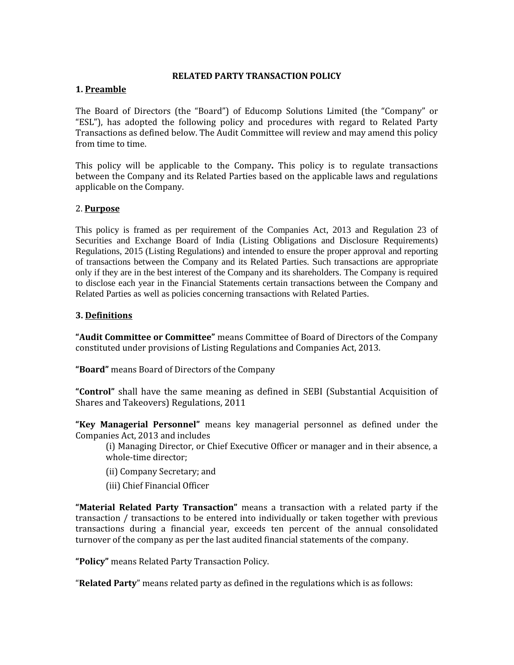## **RELATED PARTY TRANSACTION POLICY**

## **1. Preamble**

The Board of Directors (the "Board") of Educomp Solutions Limited (the "Company" or "ESL"), has adopted the following policy and procedures with regard to Related Party Transactions as defined below. The Audit Committee will review and may amend this policy from time to time.

This policy will be applicable to the Company**.** This policy is to regulate transactions between the Company and its Related Parties based on the applicable laws and regulations applicable on the Company.

## 2. **Purpose**

This policy is framed as per requirement of the Companies Act, 2013 and Regulation 23 of Securities and Exchange Board of India (Listing Obligations and Disclosure Requirements) Regulations, 2015 (Listing Regulations) and intended to ensure the proper approval and reporting of transactions between the Company and its Related Parties. Such transactions are appropriate only if they are in the best interest of the Company and its shareholders. The Company is required to disclose each year in the Financial Statements certain transactions between the Company and Related Parties as well as policies concerning transactions with Related Parties.

## **3. Definitions**

**"Audit Committee or Committee"** means Committee of Board of Directors of the Company constituted under provisions of Listing Regulations and Companies Act, 2013.

**"Board"** means Board of Directors of the Company

**"Control"** shall have the same meaning as defined in SEBI (Substantial Acquisition of Shares and Takeovers) Regulations, 2011

**"Key Managerial Personnel"** means key managerial personnel as defined under the Companies Act, 2013 and includes

(i) Managing Director, or Chief Executive Officer or manager and in their absence, a whole-time director;

- (ii) Company Secretary; and
- (iii) Chief Financial Officer

**"Material Related Party Transaction"** means a transaction with a related party if the transaction / transactions to be entered into individually or taken together with previous transactions during a financial year, exceeds ten percent of the annual consolidated turnover of the company as per the last audited financial statements of the company.

**"Policy"** means Related Party Transaction Policy.

"**Related Party**" means related party as defined in the regulations which is as follows: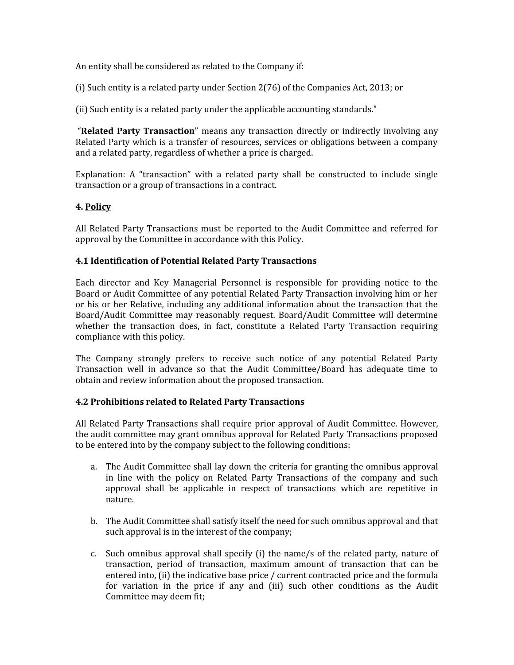An entity shall be considered as related to the Company if:

(i) Such entity is a related party under Section 2(76) of the Companies Act, 2013; or

(ii) Such entity is a related party under the applicable accounting standards."

"**Related Party Transaction**" means any transaction directly or indirectly involving any Related Party which is a transfer of resources, services or obligations between a company and a related party, regardless of whether a price is charged.

Explanation: A "transaction" with a related party shall be constructed to include single transaction or a group of transactions in a contract.

# **4. Policy**

All Related Party Transactions must be reported to the Audit Committee and referred for approval by the Committee in accordance with this Policy.

# **4.1 Identification of Potential Related Party Transactions**

Each director and Key Managerial Personnel is responsible for providing notice to the Board or Audit Committee of any potential Related Party Transaction involving him or her or his or her Relative, including any additional information about the transaction that the Board/Audit Committee may reasonably request. Board/Audit Committee will determine whether the transaction does, in fact, constitute a Related Party Transaction requiring compliance with this policy.

The Company strongly prefers to receive such notice of any potential Related Party Transaction well in advance so that the Audit Committee/Board has adequate time to obtain and review information about the proposed transaction.

## **4.2 Prohibitions related to Related Party Transactions**

All Related Party Transactions shall require prior approval of Audit Committee. However, the audit committee may grant omnibus approval for Related Party Transactions proposed to be entered into by the company subject to the following conditions:

- a. The Audit Committee shall lay down the criteria for granting the omnibus approval in line with the policy on Related Party Transactions of the company and such approval shall be applicable in respect of transactions which are repetitive in nature.
- b. The Audit Committee shall satisfy itself the need for such omnibus approval and that such approval is in the interest of the company;
- c. Such omnibus approval shall specify (i) the name/s of the related party, nature of transaction, period of transaction, maximum amount of transaction that can be entered into, (ii) the indicative base price / current contracted price and the formula for variation in the price if any and (iii) such other conditions as the Audit Committee may deem fit;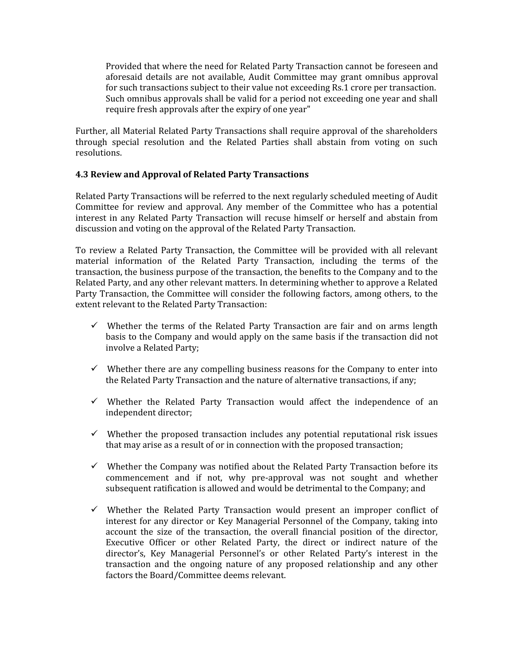Provided that where the need for Related Party Transaction cannot be foreseen and aforesaid details are not available, Audit Committee may grant omnibus approval for such transactions subject to their value not exceeding Rs.1 crore per transaction. Such omnibus approvals shall be valid for a period not exceeding one year and shall require fresh approvals after the expiry of one year"

Further, all Material Related Party Transactions shall require approval of the shareholders through special resolution and the Related Parties shall abstain from voting on such resolutions.

#### **4.3 Review and Approval of Related Party Transactions**

Related Party Transactions will be referred to the next regularly scheduled meeting of Audit Committee for review and approval. Any member of the Committee who has a potential interest in any Related Party Transaction will recuse himself or herself and abstain from discussion and voting on the approval of the Related Party Transaction.

To review a Related Party Transaction, the Committee will be provided with all relevant material information of the Related Party Transaction, including the terms of the transaction, the business purpose of the transaction, the benefits to the Company and to the Related Party, and any other relevant matters. In determining whether to approve a Related Party Transaction, the Committee will consider the following factors, among others, to the extent relevant to the Related Party Transaction:

- $\checkmark$  Whether the terms of the Related Party Transaction are fair and on arms length basis to the Company and would apply on the same basis if the transaction did not involve a Related Party;
- $\checkmark$  Whether there are any compelling business reasons for the Company to enter into the Related Party Transaction and the nature of alternative transactions, if any;
- $\checkmark$  Whether the Related Party Transaction would affect the independence of an independent director;
- $\checkmark$  Whether the proposed transaction includes any potential reputational risk issues that may arise as a result of or in connection with the proposed transaction;
- $\checkmark$  Whether the Company was notified about the Related Party Transaction before its commencement and if not, why pre-approval was not sought and whether subsequent ratification is allowed and would be detrimental to the Company; and
- $\checkmark$  Whether the Related Party Transaction would present an improper conflict of interest for any director or Key Managerial Personnel of the Company, taking into account the size of the transaction, the overall financial position of the director, Executive Officer or other Related Party, the direct or indirect nature of the director's, Key Managerial Personnel's or other Related Party's interest in the transaction and the ongoing nature of any proposed relationship and any other factors the Board/Committee deems relevant.